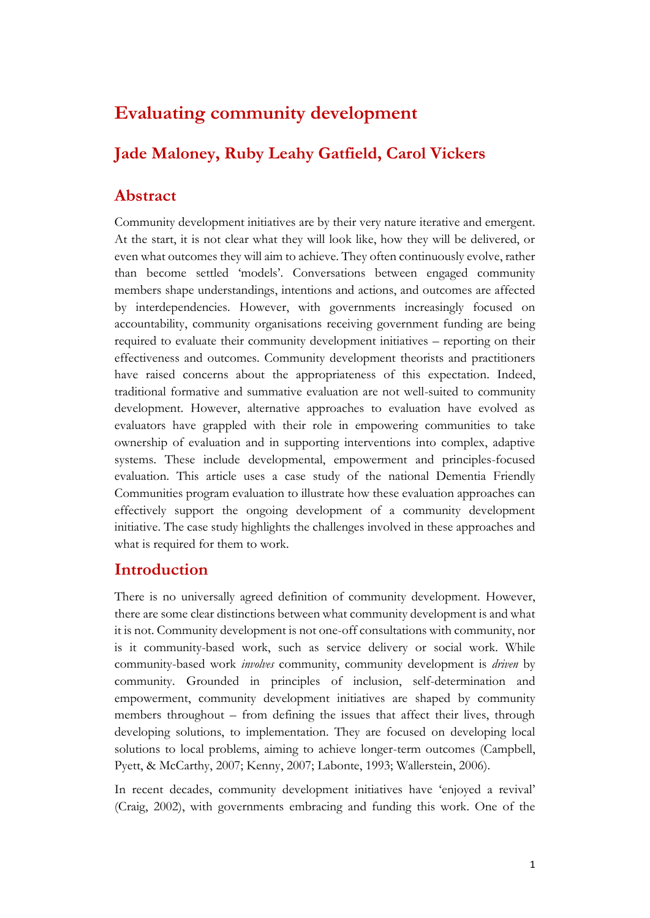# **Evaluating community development**

# **Jade Maloney, Ruby Leahy Gatfield, Carol Vickers**

## **Abstract**

Community development initiatives are by their very nature iterative and emergent. At the start, it is not clear what they will look like, how they will be delivered, or even what outcomes they will aim to achieve. They often continuously evolve, rather than become settled 'models'. Conversations between engaged community members shape understandings, intentions and actions, and outcomes are affected by interdependencies. However, with governments increasingly focused on accountability, community organisations receiving government funding are being required to evaluate their community development initiatives – reporting on their effectiveness and outcomes. Community development theorists and practitioners have raised concerns about the appropriateness of this expectation. Indeed, traditional formative and summative evaluation are not well-suited to community development. However, alternative approaches to evaluation have evolved as evaluators have grappled with their role in empowering communities to take ownership of evaluation and in supporting interventions into complex, adaptive systems. These include developmental, empowerment and principles-focused evaluation. This article uses a case study of the national Dementia Friendly Communities program evaluation to illustrate how these evaluation approaches can effectively support the ongoing development of a community development initiative. The case study highlights the challenges involved in these approaches and what is required for them to work.

## **Introduction**

There is no universally agreed definition of community development. However, there are some clear distinctions between what community development is and what it is not. Community development is not one-off consultations with community, nor is it community-based work, such as service delivery or social work. While community-based work *involves* community, community development is *driven* by community. Grounded in principles of inclusion, self-determination and empowerment, community development initiatives are shaped by community members throughout – from defining the issues that affect their lives, through developing solutions, to implementation. They are focused on developing local solutions to local problems, aiming to achieve longer-term outcomes (Campbell, Pyett, & McCarthy, 2007; Kenny, 2007; Labonte, 1993; Wallerstein, 2006).

In recent decades, community development initiatives have 'enjoyed a revival' (Craig, 2002), with governments embracing and funding this work. One of the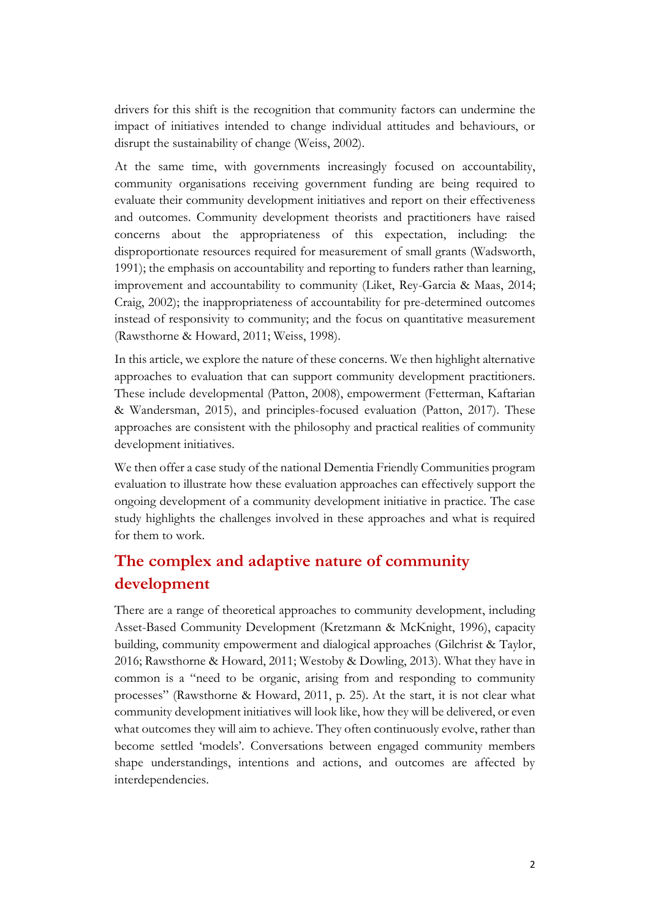drivers for this shift is the recognition that community factors can undermine the impact of initiatives intended to change individual attitudes and behaviours, or disrupt the sustainability of change (Weiss, 2002).

At the same time, with governments increasingly focused on accountability, community organisations receiving government funding are being required to evaluate their community development initiatives and report on their effectiveness and outcomes. Community development theorists and practitioners have raised concerns about the appropriateness of this expectation, including: the disproportionate resources required for measurement of small grants (Wadsworth, 1991); the emphasis on accountability and reporting to funders rather than learning, improvement and accountability to community (Liket, Rey-Garcia & Maas, 2014; Craig, 2002); the inappropriateness of accountability for pre-determined outcomes instead of responsivity to community; and the focus on quantitative measurement (Rawsthorne & Howard, 2011; Weiss, 1998).

In this article, we explore the nature of these concerns. We then highlight alternative approaches to evaluation that can support community development practitioners. These include developmental (Patton, 2008), empowerment (Fetterman, Kaftarian & Wandersman, 2015), and principles-focused evaluation (Patton, 2017). These approaches are consistent with the philosophy and practical realities of community development initiatives.

We then offer a case study of the national Dementia Friendly Communities program evaluation to illustrate how these evaluation approaches can effectively support the ongoing development of a community development initiative in practice. The case study highlights the challenges involved in these approaches and what is required for them to work.

# **The complex and adaptive nature of community development**

There are a range of theoretical approaches to community development, including Asset-Based Community Development (Kretzmann & McKnight, 1996), capacity building, community empowerment and dialogical approaches (Gilchrist & Taylor, 2016; Rawsthorne & Howard, 2011; Westoby & Dowling, 2013). What they have in common is a "need to be organic, arising from and responding to community processes" (Rawsthorne & Howard, 2011, p. 25). At the start, it is not clear what community development initiatives will look like, how they will be delivered, or even what outcomes they will aim to achieve. They often continuously evolve, rather than become settled 'models'. Conversations between engaged community members shape understandings, intentions and actions, and outcomes are affected by interdependencies.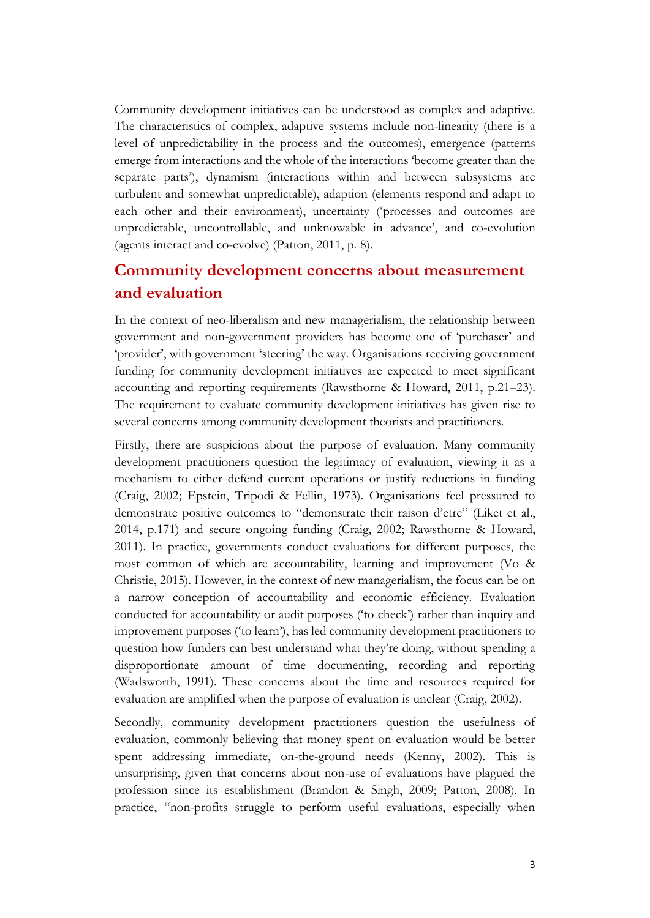Community development initiatives can be understood as complex and adaptive. The characteristics of complex, adaptive systems include non-linearity (there is a level of unpredictability in the process and the outcomes), emergence (patterns emerge from interactions and the whole of the interactions 'become greater than the separate parts'), dynamism (interactions within and between subsystems are turbulent and somewhat unpredictable), adaption (elements respond and adapt to each other and their environment), uncertainty ('processes and outcomes are unpredictable, uncontrollable, and unknowable in advance', and co-evolution (agents interact and co-evolve) (Patton, 2011, p. 8).

## **Community development concerns about measurement and evaluation**

In the context of neo-liberalism and new managerialism, the relationship between government and non-government providers has become one of 'purchaser' and 'provider', with government 'steering' the way. Organisations receiving government funding for community development initiatives are expected to meet significant accounting and reporting requirements (Rawsthorne & Howard, 2011, p.21–23). The requirement to evaluate community development initiatives has given rise to several concerns among community development theorists and practitioners.

Firstly, there are suspicions about the purpose of evaluation. Many community development practitioners question the legitimacy of evaluation, viewing it as a mechanism to either defend current operations or justify reductions in funding (Craig, 2002; Epstein, Tripodi & Fellin, 1973). Organisations feel pressured to demonstrate positive outcomes to "demonstrate their raison d'etre" (Liket et al., 2014, p.171) and secure ongoing funding (Craig, 2002; Rawsthorne & Howard, 2011). In practice, governments conduct evaluations for different purposes, the most common of which are accountability, learning and improvement (Vo & Christie, 2015). However, in the context of new managerialism, the focus can be on a narrow conception of accountability and economic efficiency. Evaluation conducted for accountability or audit purposes ('to check') rather than inquiry and improvement purposes ('to learn'), has led community development practitioners to question how funders can best understand what they're doing, without spending a disproportionate amount of time documenting, recording and reporting (Wadsworth, 1991). These concerns about the time and resources required for evaluation are amplified when the purpose of evaluation is unclear (Craig, 2002).

Secondly, community development practitioners question the usefulness of evaluation, commonly believing that money spent on evaluation would be better spent addressing immediate, on-the-ground needs (Kenny, 2002). This is unsurprising, given that concerns about non-use of evaluations have plagued the profession since its establishment (Brandon & Singh, 2009; Patton, 2008). In practice, "non-profits struggle to perform useful evaluations, especially when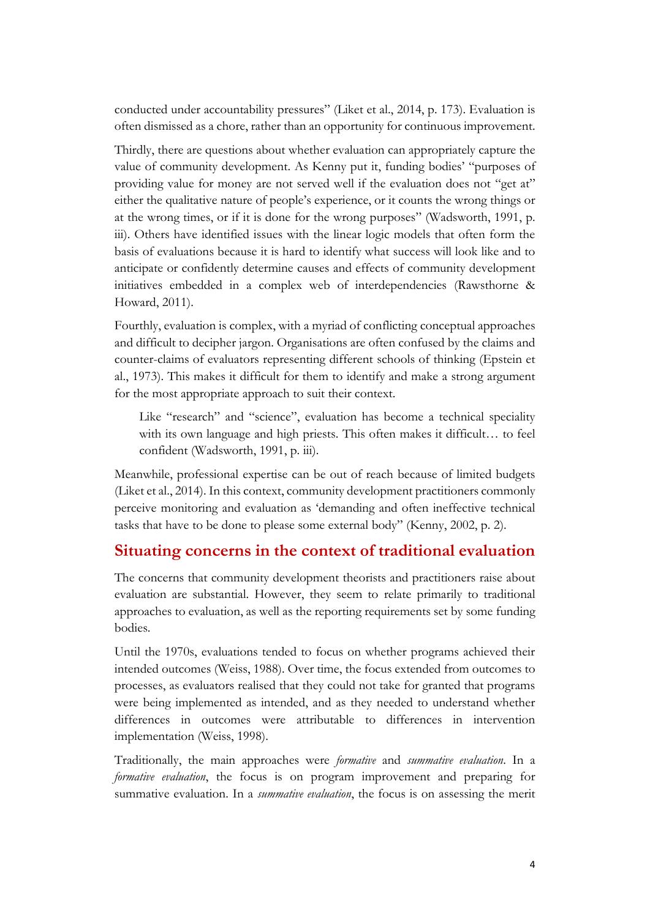conducted under accountability pressures" (Liket et al., 2014, p. 173). Evaluation is often dismissed as a chore, rather than an opportunity for continuous improvement.

Thirdly, there are questions about whether evaluation can appropriately capture the value of community development. As Kenny put it, funding bodies' "purposes of providing value for money are not served well if the evaluation does not "get at" either the qualitative nature of people's experience, or it counts the wrong things or at the wrong times, or if it is done for the wrong purposes" (Wadsworth, 1991, p. iii). Others have identified issues with the linear logic models that often form the basis of evaluations because it is hard to identify what success will look like and to anticipate or confidently determine causes and effects of community development initiatives embedded in a complex web of interdependencies (Rawsthorne & Howard, 2011).

Fourthly, evaluation is complex, with a myriad of conflicting conceptual approaches and difficult to decipher jargon. Organisations are often confused by the claims and counter-claims of evaluators representing different schools of thinking (Epstein et al., 1973). This makes it difficult for them to identify and make a strong argument for the most appropriate approach to suit their context.

Like "research" and "science", evaluation has become a technical speciality with its own language and high priests. This often makes it difficult… to feel confident (Wadsworth, 1991, p. iii).

Meanwhile, professional expertise can be out of reach because of limited budgets (Liket et al., 2014). In this context, community development practitioners commonly perceive monitoring and evaluation as 'demanding and often ineffective technical tasks that have to be done to please some external body" (Kenny, 2002, p. 2).

## **Situating concerns in the context of traditional evaluation**

The concerns that community development theorists and practitioners raise about evaluation are substantial. However, they seem to relate primarily to traditional approaches to evaluation, as well as the reporting requirements set by some funding bodies.

Until the 1970s, evaluations tended to focus on whether programs achieved their intended outcomes (Weiss, 1988). Over time, the focus extended from outcomes to processes, as evaluators realised that they could not take for granted that programs were being implemented as intended, and as they needed to understand whether differences in outcomes were attributable to differences in intervention implementation (Weiss, 1998).

Traditionally, the main approaches were *formative* and *summative evaluation*. In a *formative evaluation*, the focus is on program improvement and preparing for summative evaluation. In a *summative evaluation*, the focus is on assessing the merit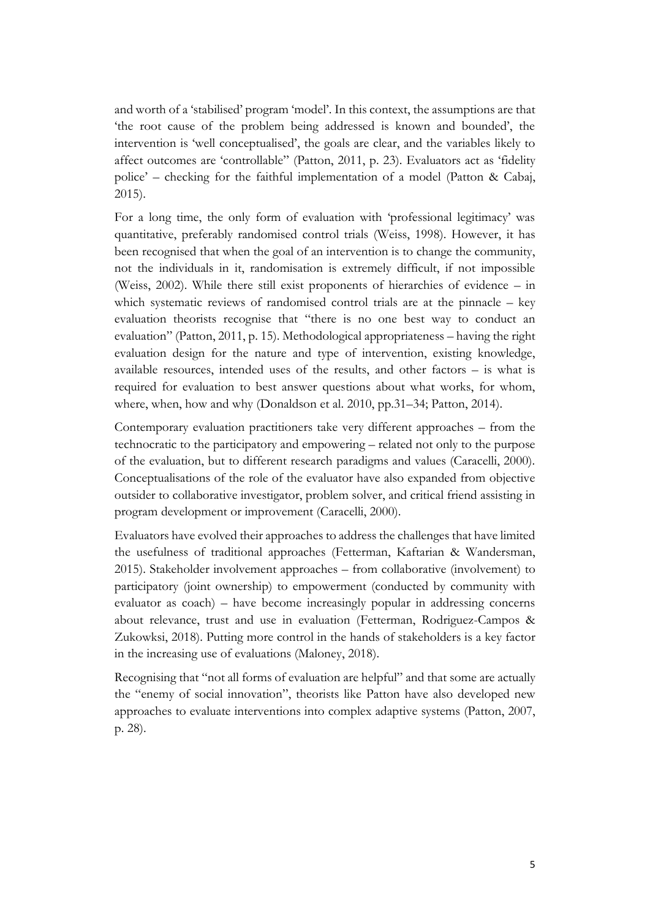and worth of a 'stabilised' program 'model'. In this context, the assumptions are that 'the root cause of the problem being addressed is known and bounded', the intervention is 'well conceptualised', the goals are clear, and the variables likely to affect outcomes are 'controllable" (Patton, 2011, p. 23). Evaluators act as 'fidelity police' – checking for the faithful implementation of a model (Patton & Cabaj, 2015).

For a long time, the only form of evaluation with 'professional legitimacy' was quantitative, preferably randomised control trials (Weiss, 1998). However, it has been recognised that when the goal of an intervention is to change the community, not the individuals in it, randomisation is extremely difficult, if not impossible (Weiss, 2002). While there still exist proponents of hierarchies of evidence – in which systematic reviews of randomised control trials are at the pinnacle – key evaluation theorists recognise that "there is no one best way to conduct an evaluation" (Patton, 2011, p. 15). Methodological appropriateness – having the right evaluation design for the nature and type of intervention, existing knowledge, available resources, intended uses of the results, and other factors – is what is required for evaluation to best answer questions about what works, for whom, where, when, how and why (Donaldson et al. 2010, pp.31–34; Patton, 2014).

Contemporary evaluation practitioners take very different approaches – from the technocratic to the participatory and empowering – related not only to the purpose of the evaluation, but to different research paradigms and values (Caracelli, 2000). Conceptualisations of the role of the evaluator have also expanded from objective outsider to collaborative investigator, problem solver, and critical friend assisting in program development or improvement (Caracelli, 2000).

Evaluators have evolved their approaches to address the challenges that have limited the usefulness of traditional approaches (Fetterman, Kaftarian & Wandersman, 2015). Stakeholder involvement approaches – from collaborative (involvement) to participatory (joint ownership) to empowerment (conducted by community with evaluator as coach) – have become increasingly popular in addressing concerns about relevance, trust and use in evaluation (Fetterman, Rodriguez-Campos & Zukowksi, 2018). Putting more control in the hands of stakeholders is a key factor in the increasing use of evaluations (Maloney, 2018).

Recognising that "not all forms of evaluation are helpful" and that some are actually the "enemy of social innovation", theorists like Patton have also developed new approaches to evaluate interventions into complex adaptive systems (Patton, 2007, p. 28).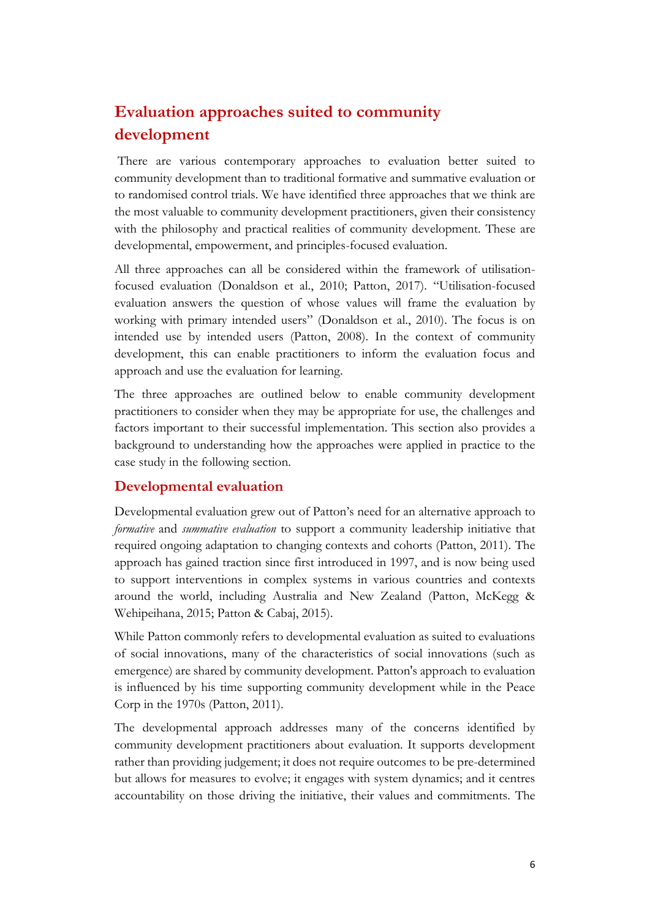# **Evaluation approaches suited to community development**

There are various contemporary approaches to evaluation better suited to community development than to traditional formative and summative evaluation or to randomised control trials. We have identified three approaches that we think are the most valuable to community development practitioners, given their consistency with the philosophy and practical realities of community development. These are developmental, empowerment, and principles-focused evaluation.

All three approaches can all be considered within the framework of utilisationfocused evaluation (Donaldson et al., 2010; Patton, 2017). "Utilisation-focused evaluation answers the question of whose values will frame the evaluation by working with primary intended users" (Donaldson et al., 2010). The focus is on intended use by intended users (Patton, 2008). In the context of community development, this can enable practitioners to inform the evaluation focus and approach and use the evaluation for learning.

The three approaches are outlined below to enable community development practitioners to consider when they may be appropriate for use, the challenges and factors important to their successful implementation. This section also provides a background to understanding how the approaches were applied in practice to the case study in the following section.

#### **Developmental evaluation**

Developmental evaluation grew out of Patton's need for an alternative approach to *formative* and *summative evaluation* to support a community leadership initiative that required ongoing adaptation to changing contexts and cohorts (Patton, 2011). The approach has gained traction since first introduced in 1997, and is now being used to support interventions in complex systems in various countries and contexts around the world, including Australia and New Zealand (Patton, McKegg & Wehipeihana, 2015; Patton & Cabaj, 2015).

While Patton commonly refers to developmental evaluation as suited to evaluations of social innovations, many of the characteristics of social innovations (such as emergence) are shared by community development. Patton's approach to evaluation is influenced by his time supporting community development while in the Peace Corp in the 1970s (Patton, 2011).

The developmental approach addresses many of the concerns identified by community development practitioners about evaluation. It supports development rather than providing judgement; it does not require outcomes to be pre-determined but allows for measures to evolve; it engages with system dynamics; and it centres accountability on those driving the initiative, their values and commitments. The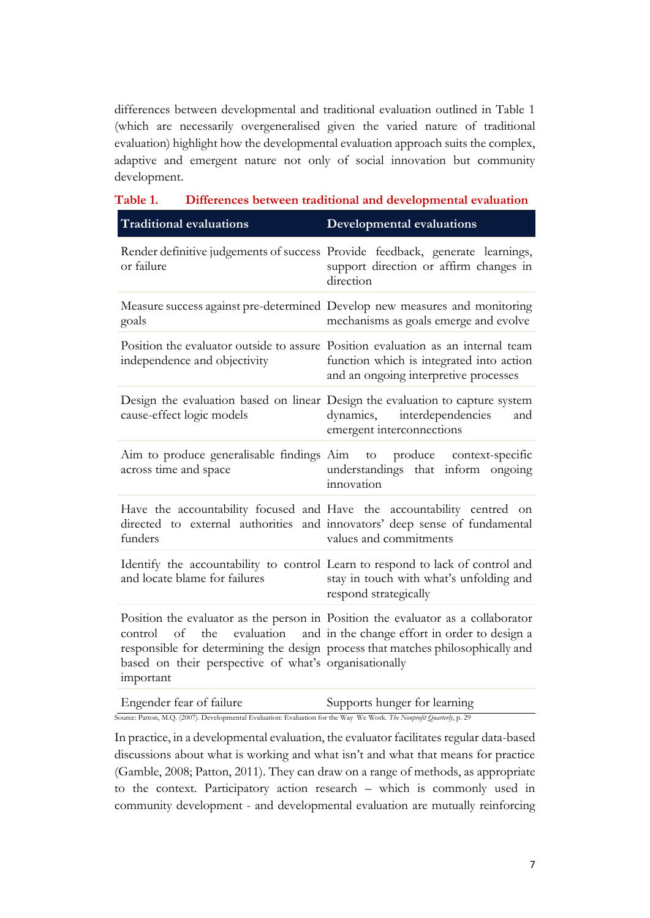differences between developmental and traditional evaluation outlined in Table 1 (which are necessarily overgeneralised given the varied nature of traditional evaluation) highlight how the developmental evaluation approach suits the complex, adaptive and emergent nature not only of social innovation but community development.

| 1 adie 1.<br>Differences between traditional and developmental evaluation                  |                                                                                                                                                                                                                                 |  |  |  |  |  |  |
|--------------------------------------------------------------------------------------------|---------------------------------------------------------------------------------------------------------------------------------------------------------------------------------------------------------------------------------|--|--|--|--|--|--|
| <b>Traditional evaluations</b>                                                             | <b>Developmental evaluations</b>                                                                                                                                                                                                |  |  |  |  |  |  |
| or failure                                                                                 | Render definitive judgements of success Provide feedback, generate learnings,<br>support direction or affirm changes in<br>direction                                                                                            |  |  |  |  |  |  |
| goals                                                                                      | Measure success against pre-determined Develop new measures and monitoring<br>mechanisms as goals emerge and evolve                                                                                                             |  |  |  |  |  |  |
| independence and objectivity                                                               | Position the evaluator outside to assure Position evaluation as an internal team<br>function which is integrated into action<br>and an ongoing interpretive processes                                                           |  |  |  |  |  |  |
| cause-effect logic models                                                                  | Design the evaluation based on linear Design the evaluation to capture system<br>dynamics, interdependencies<br>and<br>emergent interconnections                                                                                |  |  |  |  |  |  |
| across time and space                                                                      | Aim to produce generalisable findings Aim to produce context-specific<br>understandings that inform ongoing<br>innovation                                                                                                       |  |  |  |  |  |  |
| funders                                                                                    | Have the accountability focused and Have the accountability centred on<br>directed to external authorities and innovators' deep sense of fundamental<br>values and commitments                                                  |  |  |  |  |  |  |
| and locate blame for failures                                                              | Identify the accountability to control Learn to respond to lack of control and<br>stay in touch with what's unfolding and<br>respond strategically                                                                              |  |  |  |  |  |  |
| the<br>control<br>of<br>based on their perspective of what's organisationally<br>important | Position the evaluator as the person in Position the evaluator as a collaborator<br>evaluation and in the change effort in order to design a<br>responsible for determining the design process that matches philosophically and |  |  |  |  |  |  |

| Table 1. | Differences between traditional and developmental evaluation |  |  |  |
|----------|--------------------------------------------------------------|--|--|--|
|          |                                                              |  |  |  |

In practice, in a developmental evaluation, the evaluator facilitates regular data-based discussions about what is working and what isn't and what that means for practice (Gamble, 2008; Patton, 2011). They can draw on a range of methods, as appropriate to the context. Participatory action research – which is commonly used in community development - and developmental evaluation are mutually reinforcing

Engender fear of failure Supports hunger for learning Source: Patton, M.Q. (2007). Developmental Evaluation: Evaluation for the Way We Work. *The Nonprofit Quarterly*, p. 29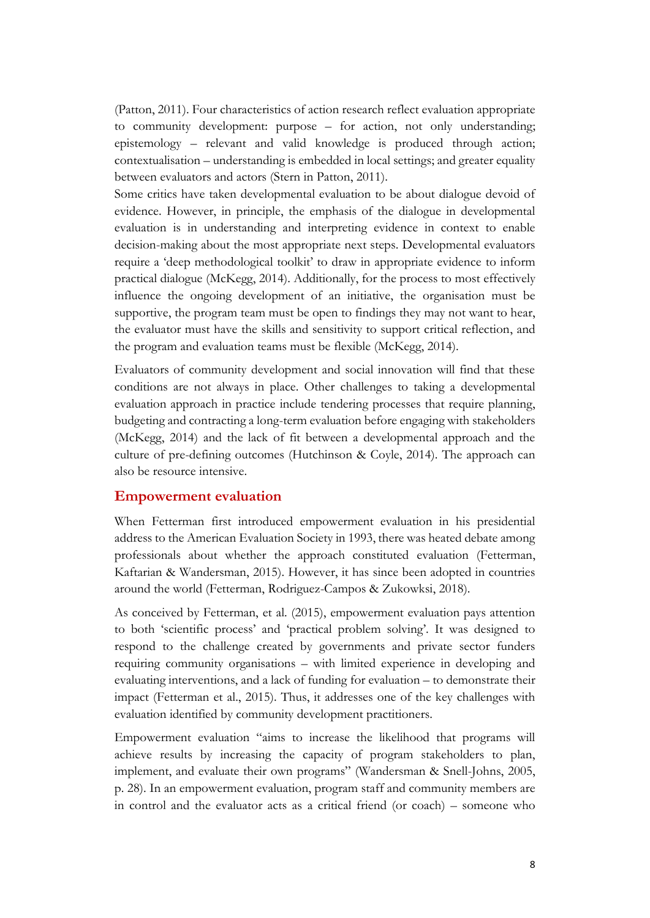(Patton, 2011). Four characteristics of action research reflect evaluation appropriate to community development: purpose – for action, not only understanding; epistemology – relevant and valid knowledge is produced through action; contextualisation – understanding is embedded in local settings; and greater equality between evaluators and actors (Stern in Patton, 2011).

Some critics have taken developmental evaluation to be about dialogue devoid of evidence. However, in principle, the emphasis of the dialogue in developmental evaluation is in understanding and interpreting evidence in context to enable decision-making about the most appropriate next steps. Developmental evaluators require a 'deep methodological toolkit' to draw in appropriate evidence to inform practical dialogue (McKegg, 2014). Additionally, for the process to most effectively influence the ongoing development of an initiative, the organisation must be supportive, the program team must be open to findings they may not want to hear, the evaluator must have the skills and sensitivity to support critical reflection, and the program and evaluation teams must be flexible (McKegg, 2014).

Evaluators of community development and social innovation will find that these conditions are not always in place. Other challenges to taking a developmental evaluation approach in practice include tendering processes that require planning, budgeting and contracting a long-term evaluation before engaging with stakeholders (McKegg, 2014) and the lack of fit between a developmental approach and the culture of pre-defining outcomes (Hutchinson & Coyle, 2014). The approach can also be resource intensive.

#### **Empowerment evaluation**

When Fetterman first introduced empowerment evaluation in his presidential address to the American Evaluation Society in 1993, there was heated debate among professionals about whether the approach constituted evaluation (Fetterman, Kaftarian & Wandersman, 2015). However, it has since been adopted in countries around the world (Fetterman, Rodriguez-Campos & Zukowksi, 2018).

As conceived by Fetterman, et al. (2015), empowerment evaluation pays attention to both 'scientific process' and 'practical problem solving'. It was designed to respond to the challenge created by governments and private sector funders requiring community organisations – with limited experience in developing and evaluating interventions, and a lack of funding for evaluation – to demonstrate their impact (Fetterman et al., 2015). Thus, it addresses one of the key challenges with evaluation identified by community development practitioners.

Empowerment evaluation "aims to increase the likelihood that programs will achieve results by increasing the capacity of program stakeholders to plan, implement, and evaluate their own programs" (Wandersman & Snell-Johns, 2005, p. 28). In an empowerment evaluation, program staff and community members are in control and the evaluator acts as a critical friend (or coach) – someone who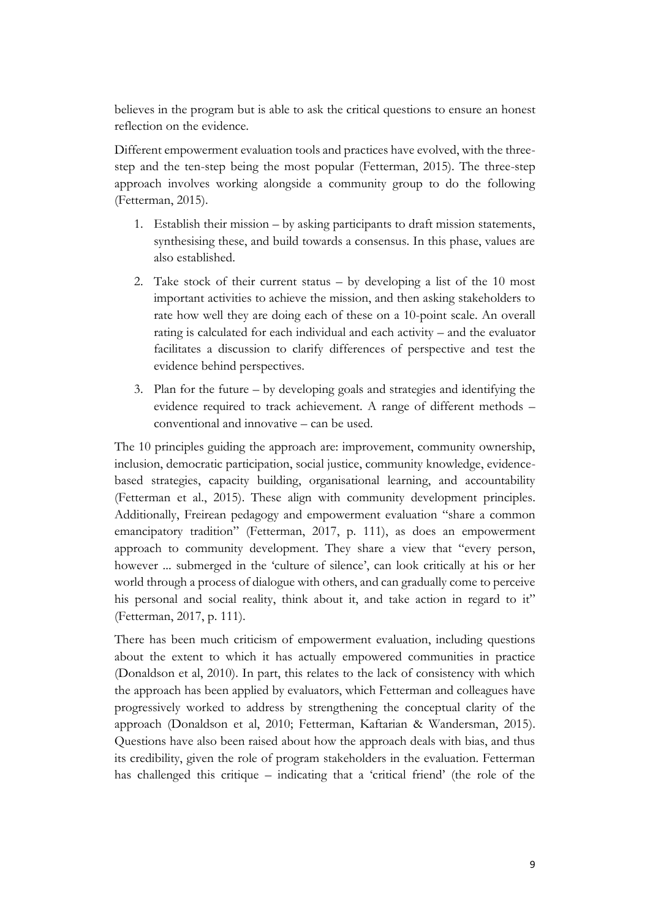believes in the program but is able to ask the critical questions to ensure an honest reflection on the evidence.

Different empowerment evaluation tools and practices have evolved, with the threestep and the ten-step being the most popular (Fetterman, 2015). The three-step approach involves working alongside a community group to do the following (Fetterman, 2015).

- 1. Establish their mission by asking participants to draft mission statements, synthesising these, and build towards a consensus. In this phase, values are also established.
- 2. Take stock of their current status by developing a list of the 10 most important activities to achieve the mission, and then asking stakeholders to rate how well they are doing each of these on a 10-point scale. An overall rating is calculated for each individual and each activity – and the evaluator facilitates a discussion to clarify differences of perspective and test the evidence behind perspectives.
- 3. Plan for the future by developing goals and strategies and identifying the evidence required to track achievement. A range of different methods – conventional and innovative – can be used.

The 10 principles guiding the approach are: improvement, community ownership, inclusion, democratic participation, social justice, community knowledge, evidencebased strategies, capacity building, organisational learning, and accountability (Fetterman et al., 2015). These align with community development principles. Additionally, Freirean pedagogy and empowerment evaluation "share a common emancipatory tradition" (Fetterman, 2017, p. 111), as does an empowerment approach to community development. They share a view that "every person, however ... submerged in the 'culture of silence', can look critically at his or her world through a process of dialogue with others, and can gradually come to perceive his personal and social reality, think about it, and take action in regard to it" (Fetterman, 2017, p. 111).

There has been much criticism of empowerment evaluation, including questions about the extent to which it has actually empowered communities in practice (Donaldson et al, 2010). In part, this relates to the lack of consistency with which the approach has been applied by evaluators, which Fetterman and colleagues have progressively worked to address by strengthening the conceptual clarity of the approach (Donaldson et al, 2010; Fetterman, Kaftarian & Wandersman, 2015). Questions have also been raised about how the approach deals with bias, and thus its credibility, given the role of program stakeholders in the evaluation. Fetterman has challenged this critique – indicating that a 'critical friend' (the role of the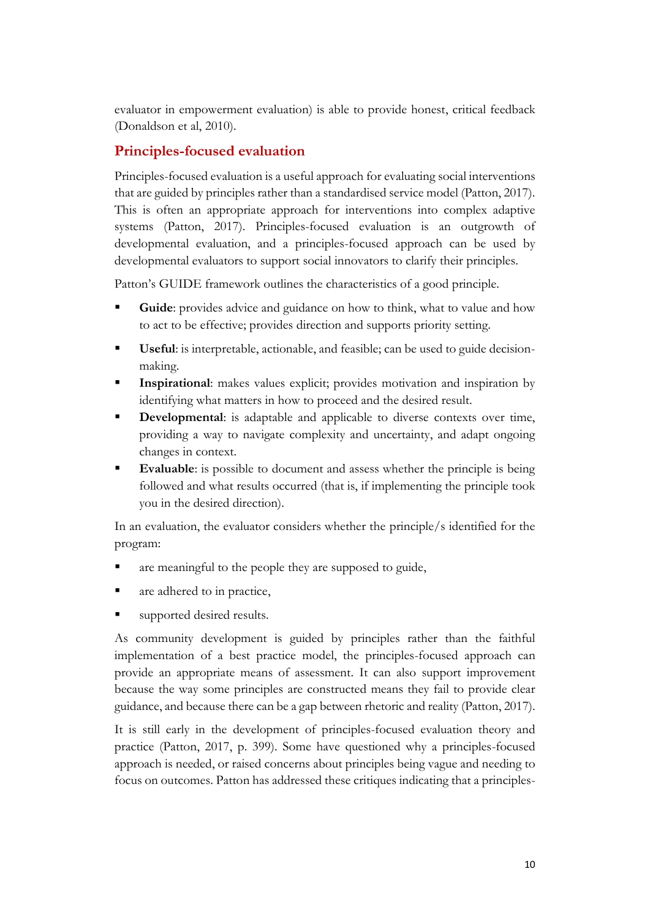evaluator in empowerment evaluation) is able to provide honest, critical feedback (Donaldson et al, 2010).

## **Principles-focused evaluation**

Principles-focused evaluation is a useful approach for evaluating social interventions that are guided by principles rather than a standardised service model (Patton, 2017). This is often an appropriate approach for interventions into complex adaptive systems (Patton, 2017). Principles-focused evaluation is an outgrowth of developmental evaluation, and a principles-focused approach can be used by developmental evaluators to support social innovators to clarify their principles.

Patton's GUIDE framework outlines the characteristics of a good principle.

- **Guide**: provides advice and guidance on how to think, what to value and how to act to be effective; provides direction and supports priority setting.
- **Useful**: is interpretable, actionable, and feasible; can be used to guide decisionmaking.
- **Inspirational:** makes values explicit; provides motivation and inspiration by identifying what matters in how to proceed and the desired result.
- **Developmental**: is adaptable and applicable to diverse contexts over time, providing a way to navigate complexity and uncertainty, and adapt ongoing changes in context.
- **Evaluable:** is possible to document and assess whether the principle is being followed and what results occurred (that is, if implementing the principle took you in the desired direction).

In an evaluation, the evaluator considers whether the principle/s identified for the program:

- are meaningful to the people they are supposed to guide,
- are adhered to in practice,
- supported desired results.

As community development is guided by principles rather than the faithful implementation of a best practice model, the principles-focused approach can provide an appropriate means of assessment. It can also support improvement because the way some principles are constructed means they fail to provide clear guidance, and because there can be a gap between rhetoric and reality (Patton, 2017).

It is still early in the development of principles-focused evaluation theory and practice (Patton, 2017, p. 399). Some have questioned why a principles-focused approach is needed, or raised concerns about principles being vague and needing to focus on outcomes. Patton has addressed these critiques indicating that a principles-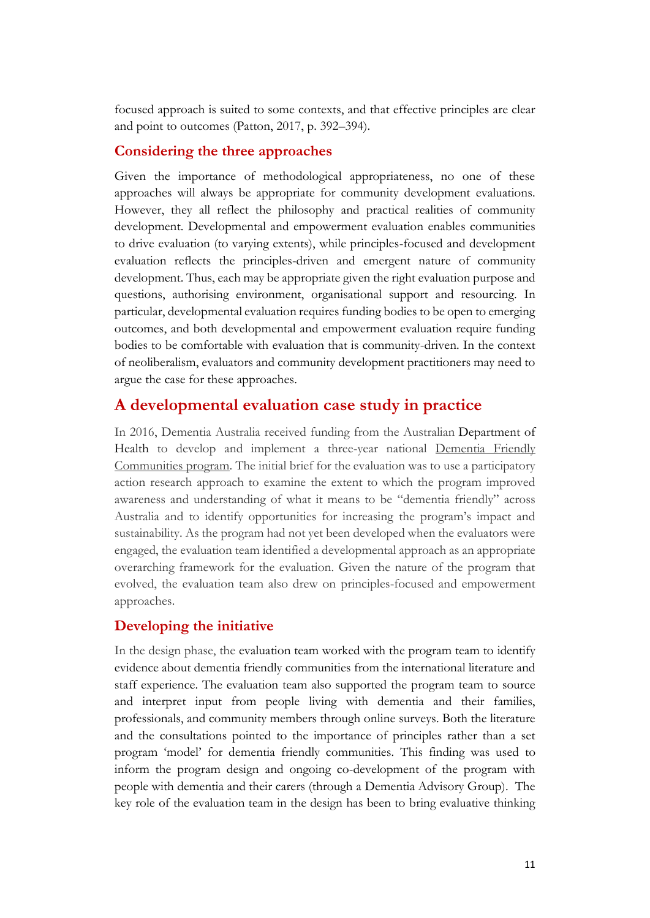focused approach is suited to some contexts, and that effective principles are clear and point to outcomes (Patton, 2017, p. 392–394).

#### **Considering the three approaches**

Given the importance of methodological appropriateness, no one of these approaches will always be appropriate for community development evaluations. However, they all reflect the philosophy and practical realities of community development. Developmental and empowerment evaluation enables communities to drive evaluation (to varying extents), while principles-focused and development evaluation reflects the principles-driven and emergent nature of community development. Thus, each may be appropriate given the right evaluation purpose and questions, authorising environment, organisational support and resourcing. In particular, developmental evaluation requires funding bodies to be open to emerging outcomes, and both developmental and empowerment evaluation require funding bodies to be comfortable with evaluation that is community-driven. In the context of neoliberalism, evaluators and community development practitioners may need to argue the case for these approaches.

## **A developmental evaluation case study in practice**

In 2016, Dementia Australia received funding from the Australian [Department of](http://www.health.gov.au/)  [Health](http://www.health.gov.au/) to develop and implement a three-year national [Dementia Friendly](https://www.dementiafriendly.org.au/)  [Communities](https://www.dementiafriendly.org.au/) program. The initial brief for the evaluation was to use a participatory action research approach to examine the extent to which the program improved awareness and understanding of what it means to be "dementia friendly" across Australia and to identify opportunities for increasing the program's impact and sustainability. As the program had not yet been developed when the evaluators were engaged, the evaluation team identified a developmental approach as an appropriate overarching framework for the evaluation. Given the nature of the program that evolved, the evaluation team also drew on principles-focused and empowerment approaches.

## **Developing the initiative**

In the design phase, the evaluation team worked with the program team to identify evidence about dementia friendly communities from the international literature and staff experience. The evaluation team also supported the program team to source and interpret input from people living with dementia and their families, professionals, and community members through online surveys. Both the literature and the consultations pointed to the importance of principles rather than a set program 'model' for dementia friendly communities. This finding was used to inform the program design and ongoing co-development of the program with people with dementia and their carers (through a Dementia Advisory Group). The key role of the evaluation team in the design has been to bring evaluative thinking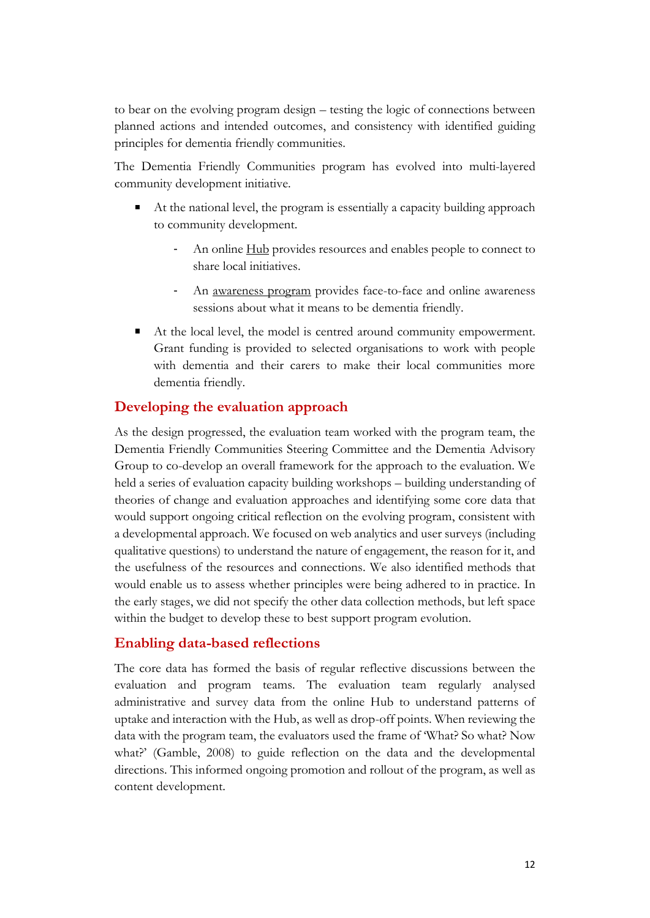to bear on the evolving program design – testing the logic of connections between planned actions and intended outcomes, and consistency with identified guiding principles for dementia friendly communities.

The Dementia Friendly Communities program has evolved into multi-layered community development initiative.

- At the national level, the program is essentially a capacity building approach to community development.
	- An online [Hub](https://www.dementiafriendly.org.au/resources) provides resources and enables people to connect to share local initiatives.
	- An [awareness program](https://www.dementiafriendly.org.au/user/register) provides face-to-face and online awareness sessions about what it means to be dementia friendly.
- At the local level, the model is centred around community empowerment. Grant funding is provided to selected organisations to work with people with dementia and their carers to make their local communities more dementia friendly.

## **Developing the evaluation approach**

As the design progressed, the evaluation team worked with the program team, the Dementia Friendly Communities Steering Committee and the Dementia Advisory Group to co-develop an overall framework for the approach to the evaluation. We held a series of evaluation capacity building workshops – building understanding of theories of change and evaluation approaches and identifying some core data that would support ongoing critical reflection on the evolving program, consistent with a developmental approach. We focused on web analytics and user surveys (including qualitative questions) to understand the nature of engagement, the reason for it, and the usefulness of the resources and connections. We also identified methods that would enable us to assess whether principles were being adhered to in practice. In the early stages, we did not specify the other data collection methods, but left space within the budget to develop these to best support program evolution.

## **Enabling data-based reflections**

The core data has formed the basis of regular reflective discussions between the evaluation and program teams. The evaluation team regularly analysed administrative and survey data from the online Hub to understand patterns of uptake and interaction with the Hub, as well as drop-off points. When reviewing the data with the program team, the evaluators used the frame of 'What? So what? Now what?' (Gamble, 2008) to guide reflection on the data and the developmental directions. This informed ongoing promotion and rollout of the program, as well as content development.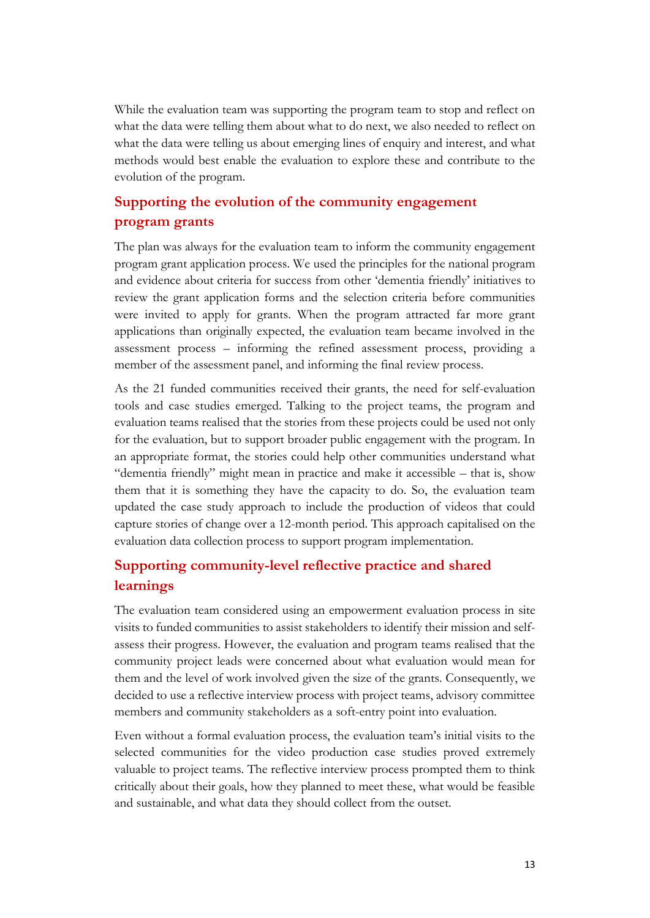While the evaluation team was supporting the program team to stop and reflect on what the data were telling them about what to do next, we also needed to reflect on what the data were telling us about emerging lines of enquiry and interest, and what methods would best enable the evaluation to explore these and contribute to the evolution of the program.

## **Supporting the evolution of the community engagement program grants**

The plan was always for the evaluation team to inform the community engagement program grant application process. We used the principles for the national program and evidence about criteria for success from other 'dementia friendly' initiatives to review the grant application forms and the selection criteria before communities were invited to apply for grants. When the program attracted far more grant applications than originally expected, the evaluation team became involved in the assessment process – informing the refined assessment process, providing a member of the assessment panel, and informing the final review process.

As the 21 funded communities received their grants, the need for self-evaluation tools and case studies emerged. Talking to the project teams, the program and evaluation teams realised that the stories from these projects could be used not only for the evaluation, but to support broader public engagement with the program. In an appropriate format, the stories could help other communities understand what "dementia friendly" might mean in practice and make it accessible – that is, show them that it is something they have the capacity to do. So, the evaluation team updated the case study approach to include the production of videos that could capture stories of change over a 12-month period. This approach capitalised on the evaluation data collection process to support program implementation.

## **Supporting community-level reflective practice and shared learnings**

The evaluation team considered using an empowerment evaluation process in site visits to funded communities to assist stakeholders to identify their mission and selfassess their progress. However, the evaluation and program teams realised that the community project leads were concerned about what evaluation would mean for them and the level of work involved given the size of the grants. Consequently, we decided to use a reflective interview process with project teams, advisory committee members and community stakeholders as a soft-entry point into evaluation.

Even without a formal evaluation process, the evaluation team's initial visits to the selected communities for the video production case studies proved extremely valuable to project teams. The reflective interview process prompted them to think critically about their goals, how they planned to meet these, what would be feasible and sustainable, and what data they should collect from the outset.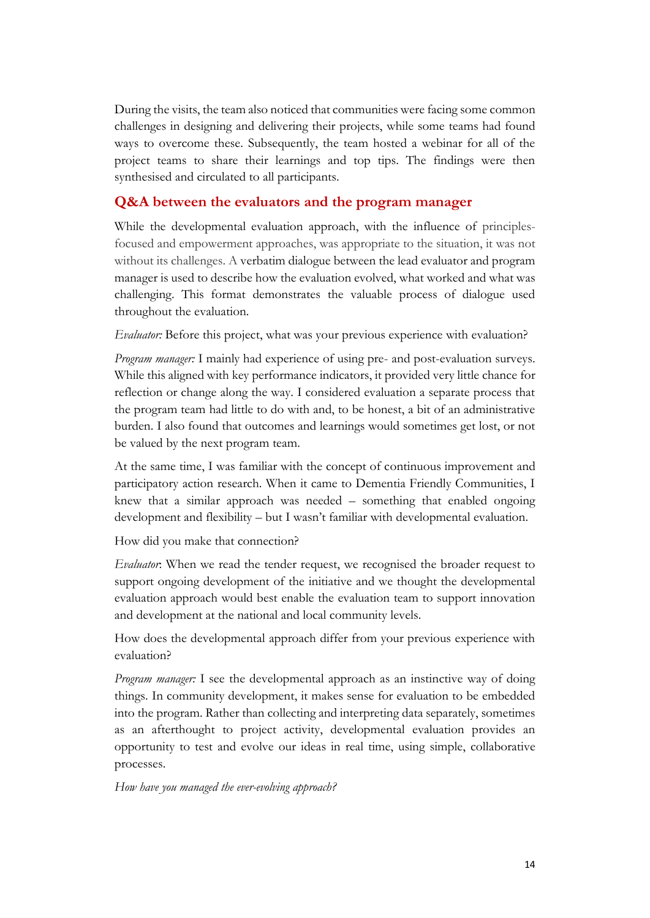During the visits, the team also noticed that communities were facing some common challenges in designing and delivering their projects, while some teams had found ways to overcome these. Subsequently, the team hosted a webinar for all of the project teams to share their learnings and top tips. The findings were then synthesised and circulated to all participants.

#### **Q&A between the evaluators and the program manager**

While the developmental evaluation approach, with the influence of principlesfocused and empowerment approaches, was appropriate to the situation, it was not without its challenges. A verbatim dialogue between the lead evaluator and program manager is used to describe how the evaluation evolved, what worked and what was challenging. This format demonstrates the valuable process of dialogue used throughout the evaluation.

*Evaluator:* Before this project, what was your previous experience with evaluation?

*Program manager:* I mainly had experience of using pre- and post-evaluation surveys. While this aligned with key performance indicators, it provided very little chance for reflection or change along the way. I considered evaluation a separate process that the program team had little to do with and, to be honest, a bit of an administrative burden. I also found that outcomes and learnings would sometimes get lost, or not be valued by the next program team.

At the same time, I was familiar with the concept of continuous improvement and participatory action research. When it came to Dementia Friendly Communities, I knew that a similar approach was needed – something that enabled ongoing development and flexibility – but I wasn't familiar with developmental evaluation.

How did you make that connection?

*Evaluator*: When we read the tender request, we recognised the broader request to support ongoing development of the initiative and we thought the developmental evaluation approach would best enable the evaluation team to support innovation and development at the national and local community levels.

How does the developmental approach differ from your previous experience with evaluation?

*Program manager:* I see the developmental approach as an instinctive way of doing things. In community development, it makes sense for evaluation to be embedded into the program. Rather than collecting and interpreting data separately, sometimes as an afterthought to project activity, developmental evaluation provides an opportunity to test and evolve our ideas in real time, using simple, collaborative processes.

*How have you managed the ever-evolving approach?*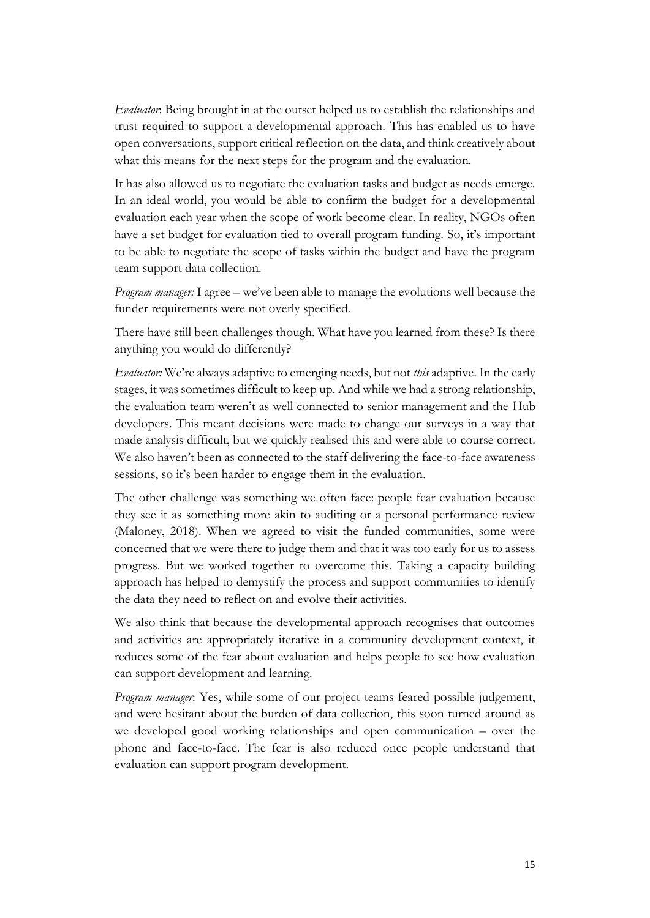*Evaluator*: Being brought in at the outset helped us to establish the relationships and trust required to support a developmental approach. This has enabled us to have open conversations, support critical reflection on the data, and think creatively about what this means for the next steps for the program and the evaluation.

It has also allowed us to negotiate the evaluation tasks and budget as needs emerge. In an ideal world, you would be able to confirm the budget for a developmental evaluation each year when the scope of work become clear. In reality, NGOs often have a set budget for evaluation tied to overall program funding. So, it's important to be able to negotiate the scope of tasks within the budget and have the program team support data collection.

*Program manager:* I agree – we've been able to manage the evolutions well because the funder requirements were not overly specified.

There have still been challenges though. What have you learned from these? Is there anything you would do differently?

*Evaluator:* We're always adaptive to emerging needs, but not *this* adaptive. In the early stages, it was sometimes difficult to keep up. And while we had a strong relationship, the evaluation team weren't as well connected to senior management and the Hub developers. This meant decisions were made to change our surveys in a way that made analysis difficult, but we quickly realised this and were able to course correct. We also haven't been as connected to the staff delivering the face-to-face awareness sessions, so it's been harder to engage them in the evaluation.

The other challenge was something we often face: people fear evaluation because they see it as something more akin to auditing or a personal performance review (Maloney, 2018). When we agreed to visit the funded communities, some were concerned that we were there to judge them and that it was too early for us to assess progress. But we worked together to overcome this. Taking a capacity building approach has helped to demystify the process and support communities to identify the data they need to reflect on and evolve their activities.

We also think that because the developmental approach recognises that outcomes and activities are appropriately iterative in a community development context, it reduces some of the fear about evaluation and helps people to see how evaluation can support development and learning.

*Program manager*: Yes, while some of our project teams feared possible judgement, and were hesitant about the burden of data collection, this soon turned around as we developed good working relationships and open communication – over the phone and face-to-face. The fear is also reduced once people understand that evaluation can support program development.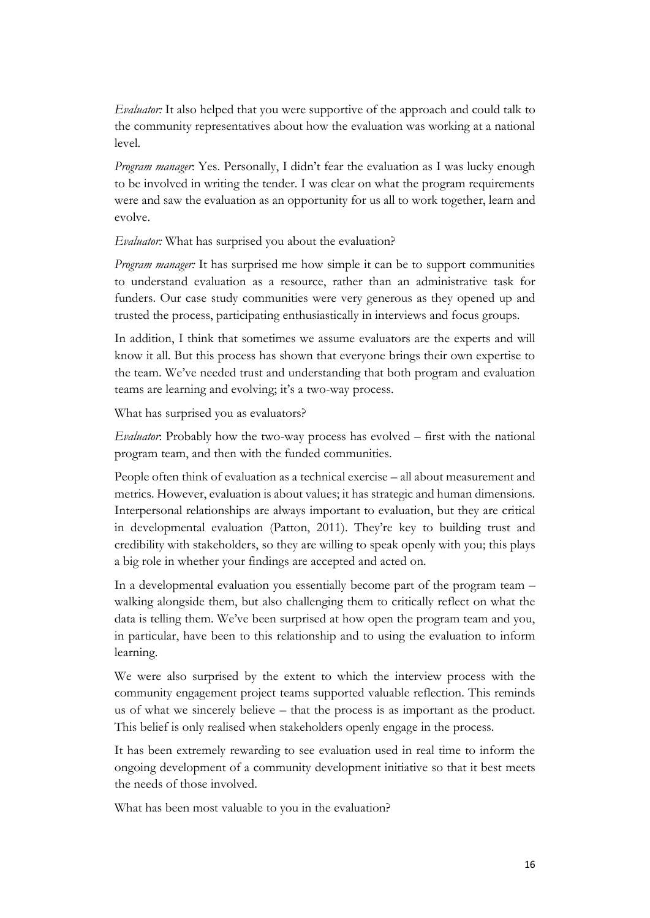*Evaluator*: It also helped that you were supportive of the approach and could talk to the community representatives about how the evaluation was working at a national level.

*Program manager*: Yes. Personally, I didn't fear the evaluation as I was lucky enough to be involved in writing the tender. I was clear on what the program requirements were and saw the evaluation as an opportunity for us all to work together, learn and evolve.

*Evaluator:* What has surprised you about the evaluation?

*Program manager:* It has surprised me how simple it can be to support communities to understand evaluation as a resource, rather than an administrative task for funders. Our case study communities were very generous as they opened up and trusted the process, participating enthusiastically in interviews and focus groups.

In addition, I think that sometimes we assume evaluators are the experts and will know it all. But this process has shown that everyone brings their own expertise to the team. We've needed trust and understanding that both program and evaluation teams are learning and evolving; it's a two-way process.

What has surprised you as evaluators?

*Evaluator*: Probably how the two-way process has evolved – first with the national program team, and then with the funded communities.

People often think of evaluation as a technical exercise – all about measurement and metrics. However, evaluation is about values; it has strategic and human dimensions. Interpersonal relationships are always important to evaluation, but they are critical in developmental evaluation (Patton, 2011). They're key to building trust and credibility with stakeholders, so they are willing to speak openly with you; this plays a big role in whether your findings are accepted and acted on.

In a developmental evaluation you essentially become part of the program team – walking alongside them, but also challenging them to critically reflect on what the data is telling them. We've been surprised at how open the program team and you, in particular, have been to this relationship and to using the evaluation to inform learning.

We were also surprised by the extent to which the interview process with the community engagement project teams supported valuable reflection. This reminds us of what we sincerely believe – that the process is as important as the product. This belief is only realised when stakeholders openly engage in the process.

It has been extremely rewarding to see evaluation used in real time to inform the ongoing development of a community development initiative so that it best meets the needs of those involved.

What has been most valuable to you in the evaluation?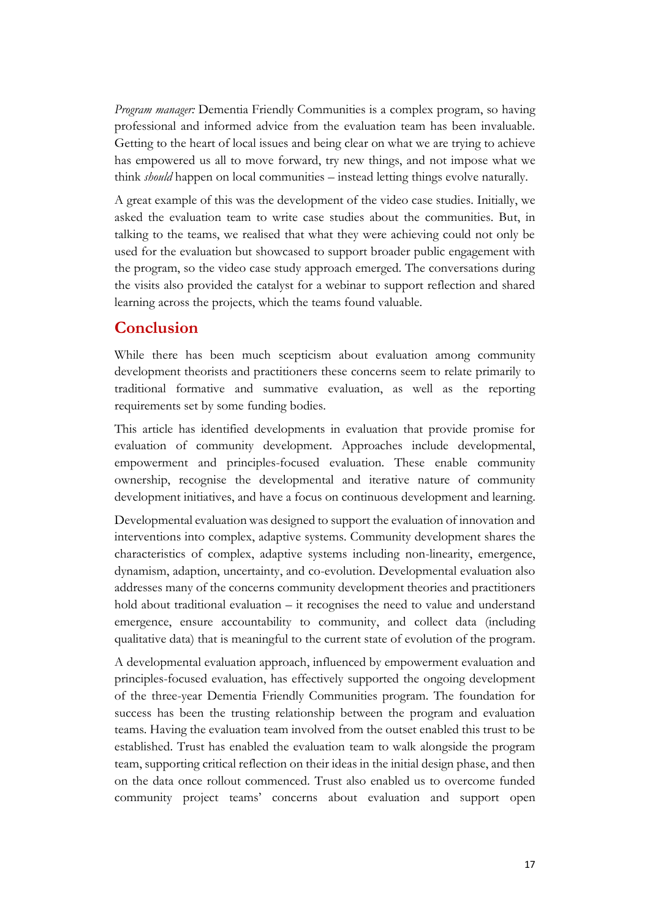*Program manager:* Dementia Friendly Communities is a complex program, so having professional and informed advice from the evaluation team has been invaluable. Getting to the heart of local issues and being clear on what we are trying to achieve has empowered us all to move forward, try new things, and not impose what we think *should* happen on local communities – instead letting things evolve naturally.

A great example of this was the development of the video case studies. Initially, we asked the evaluation team to write case studies about the communities. But, in talking to the teams, we realised that what they were achieving could not only be used for the evaluation but showcased to support broader public engagement with the program, so the video case study approach emerged. The conversations during the visits also provided the catalyst for a webinar to support reflection and shared learning across the projects, which the teams found valuable.

## **Conclusion**

While there has been much scepticism about evaluation among community development theorists and practitioners these concerns seem to relate primarily to traditional formative and summative evaluation, as well as the reporting requirements set by some funding bodies.

This article has identified developments in evaluation that provide promise for evaluation of community development. Approaches include developmental, empowerment and principles-focused evaluation. These enable community ownership, recognise the developmental and iterative nature of community development initiatives, and have a focus on continuous development and learning.

Developmental evaluation was designed to support the evaluation of innovation and interventions into complex, adaptive systems. Community development shares the characteristics of complex, adaptive systems including non-linearity, emergence, dynamism, adaption, uncertainty, and co-evolution. Developmental evaluation also addresses many of the concerns community development theories and practitioners hold about traditional evaluation – it recognises the need to value and understand emergence, ensure accountability to community, and collect data (including qualitative data) that is meaningful to the current state of evolution of the program.

A developmental evaluation approach, influenced by empowerment evaluation and principles-focused evaluation, has effectively supported the ongoing development of the three-year Dementia Friendly Communities program. The foundation for success has been the trusting relationship between the program and evaluation teams. Having the evaluation team involved from the outset enabled this trust to be established. Trust has enabled the evaluation team to walk alongside the program team, supporting critical reflection on their ideas in the initial design phase, and then on the data once rollout commenced. Trust also enabled us to overcome funded community project teams' concerns about evaluation and support open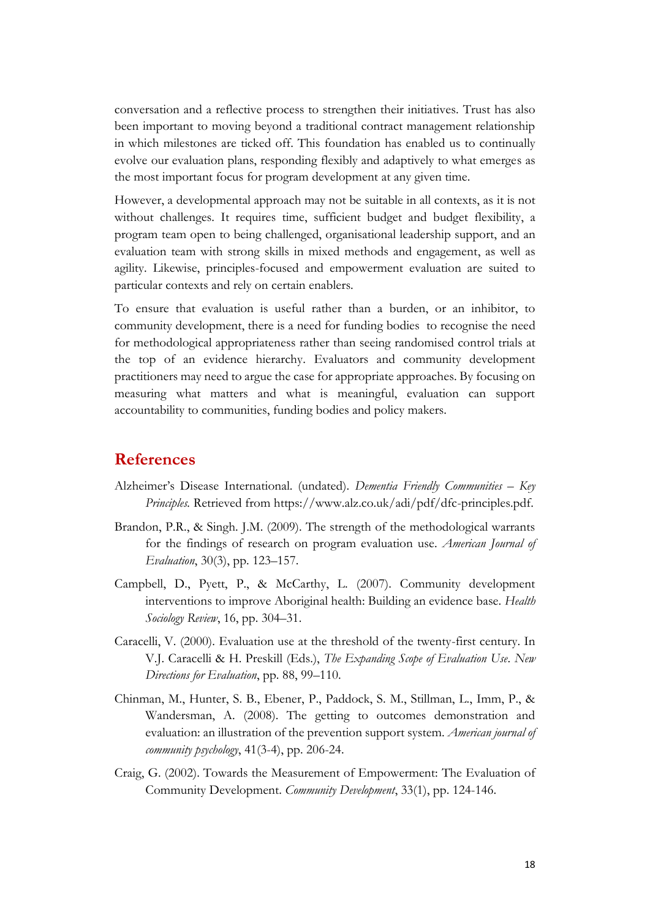conversation and a reflective process to strengthen their initiatives. Trust has also been important to moving beyond a traditional contract management relationship in which milestones are ticked off. This foundation has enabled us to continually evolve our evaluation plans, responding flexibly and adaptively to what emerges as the most important focus for program development at any given time.

However, a developmental approach may not be suitable in all contexts, as it is not without challenges. It requires time, sufficient budget and budget flexibility, a program team open to being challenged, organisational leadership support, and an evaluation team with strong skills in mixed methods and engagement, as well as agility. Likewise, principles-focused and empowerment evaluation are suited to particular contexts and rely on certain enablers.

To ensure that evaluation is useful rather than a burden, or an inhibitor, to community development, there is a need for funding bodies to recognise the need for methodological appropriateness rather than seeing randomised control trials at the top of an evidence hierarchy. Evaluators and community development practitioners may need to argue the case for appropriate approaches. By focusing on measuring what matters and what is meaningful, evaluation can support accountability to communities, funding bodies and policy makers.

#### **References**

- Alzheimer's Disease International. (undated). *Dementia Friendly Communities – Key Principles.* Retrieved from [https://www.alz.co.uk/adi/pdf/dfc-principles.pdf.](https://www.alz.co.uk/adi/pdf/dfc-principles.pdf)
- Brandon, P.R., & Singh. J.M. (2009). The strength of the methodological warrants for the findings of research on program evaluation use. *American Journal of Evaluation*, 30(3), pp. 123–157.
- Campbell, D., Pyett, P., & McCarthy, L. (2007). Community development interventions to improve Aboriginal health: Building an evidence base. *Health Sociology Review*, 16, pp. 304–31.
- Caracelli, V. (2000). Evaluation use at the threshold of the twenty-first century. In V.J. Caracelli & H. Preskill (Eds.), *The Expanding Scope of Evaluation Use*. *New Directions for Evaluation*, pp. 88, 99–110.
- Chinman, M., Hunter, S. B., Ebener, P., Paddock, S. M., Stillman, L., Imm, P., & Wandersman, A. (2008). The getting to outcomes demonstration and evaluation: an illustration of the prevention support system. *American journal of community psychology*, 41(3-4), pp. 206-24.
- Craig, G. (2002). Towards the Measurement of Empowerment: The Evaluation of Community Development. *Community Development*, 33(1), pp. 124-146.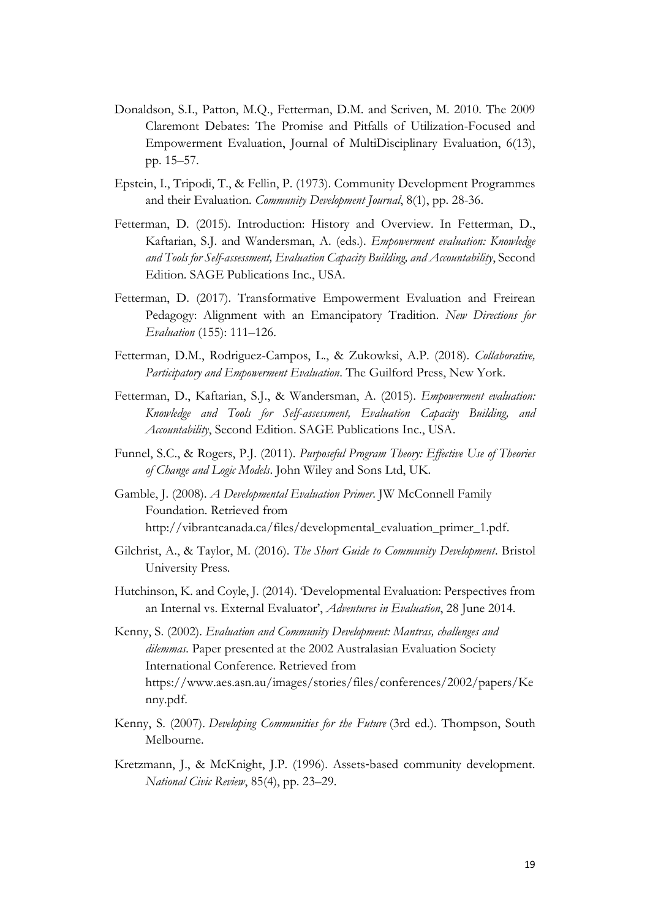- Donaldson, S.I., Patton, M.Q., Fetterman, D.M. and Scriven, M. 2010. The 2009 Claremont Debates: The Promise and Pitfalls of Utilization-Focused and Empowerment Evaluation, Journal of MultiDisciplinary Evaluation, 6(13), pp. 15–57.
- Epstein, I., Tripodi, T., & Fellin, P. (1973). Community Development Programmes and their Evaluation. *Community Development Journal*, 8(1), pp. 28-36.
- Fetterman, D. (2015). Introduction: History and Overview. In Fetterman, D., Kaftarian, S.J. and Wandersman, A. (eds.). *Empowerment evaluation: Knowledge and Tools for Self-assessment, Evaluation Capacity Building, and Accountability*, Second Edition. SAGE Publications Inc., USA.
- Fetterman, D. (2017). Transformative Empowerment Evaluation and Freirean Pedagogy: Alignment with an Emancipatory Tradition. *New Directions for Evaluation* (155): 111–126.
- Fetterman, D.M., Rodriguez-Campos, L., & Zukowksi, A.P. (2018). *Collaborative, Participatory and Empowerment Evaluation*. The Guilford Press, New York.
- Fetterman, D., Kaftarian, S.J., & Wandersman, A. (2015). *Empowerment evaluation: Knowledge and Tools for Self-assessment, Evaluation Capacity Building, and Accountability*, Second Edition. SAGE Publications Inc., USA.
- Funnel, S.C., & Rogers, P.J. (2011). *Purposeful Program Theory: Effective Use of Theories of Change and Logic Models*. John Wiley and Sons Ltd, UK.
- Gamble, J. (2008). *A Developmental Evaluation Primer*. JW McConnell Family Foundation. Retrieved from [http://vibrantcanada.ca/files/developmental\\_evaluation\\_primer\\_1.pdf.](http://vibrantcanada.ca/files/developmental_evaluation_primer_1.pdf)
- Gilchrist, A., & Taylor, M. (2016). *The Short Guide to Community Development*. Bristol University Press.
- Hutchinson, K. and Coyle, J. (2014). 'Developmental Evaluation: Perspectives from an Internal vs. External Evaluator', *Adventures in Evaluation*, 28 June 2014.
- Kenny, S. (2002). *Evaluation and Community Development: Mantras, challenges and dilemmas.* Paper presented at the 2002 Australasian Evaluation Society International Conference. Retrieved from [https://www.aes.asn.au/images/stories/files/conferences/2002/papers/Ke](https://www.aes.asn.au/images/stories/files/conferences/2002/papers/Kenny.pdf) [nny.pdf.](https://www.aes.asn.au/images/stories/files/conferences/2002/papers/Kenny.pdf)
- Kenny, S. (2007). *Developing Communities for the Future* (3rd ed.). Thompson, South Melbourne.
- Kretzmann, J., & McKnight, J.P. (1996). Assets‐based community development. *National Civic Review*, 85(4), pp. 23–29.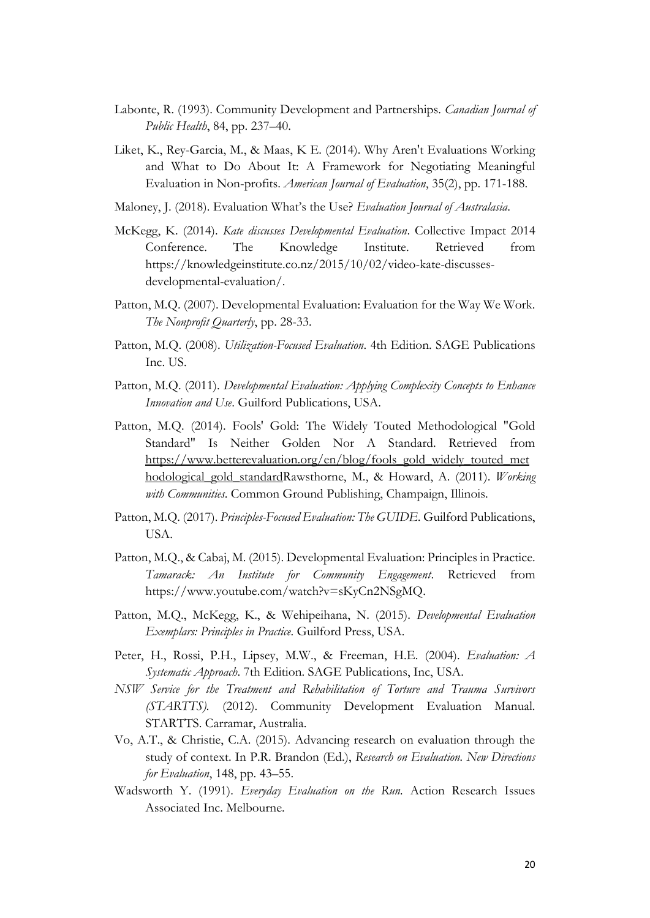- Labonte, R. (1993). Community Development and Partnerships. *Canadian Journal of Public Health*, 84, pp. 237–40.
- Liket, K., Rey-Garcia, M., & Maas, K E. (2014). Why Aren't Evaluations Working and What to Do About It: A Framework for Negotiating Meaningful Evaluation in Non-profits. *American Journal of Evaluation*, 35(2), pp. 171-188.
- Maloney, J. (2018). Evaluation What's the Use? *Evaluation Journal of Australasia*.
- McKegg, K. (2014). *Kate discusses Developmental Evaluation*. Collective Impact 2014 Conference. The Knowledge Institute. Retrieved from [https://knowledgeinstitute.co.nz/2015/10/02/video-kate-discusses](https://knowledgeinstitute.co.nz/2015/10/02/video-kate-discusses-developmental-evaluation/)[developmental-evaluation/.](https://knowledgeinstitute.co.nz/2015/10/02/video-kate-discusses-developmental-evaluation/)
- Patton, M.Q. (2007). Developmental Evaluation: Evaluation for the Way We Work. *The Nonprofit Quarterly*, pp. 28-33.
- Patton, M.Q. (2008). *Utilization-Focused Evaluation*. 4th Edition. SAGE Publications Inc. US.
- Patton, M.Q. (2011). *Developmental Evaluation: Applying Complexity Concepts to Enhance Innovation and Use*. Guilford Publications, USA.
- Patton, M.Q. (2014). Fools' Gold: The Widely Touted Methodological "Gold Standard" Is Neither Golden Nor A Standard. Retrieved from [https://www.betterevaluation.org/en/blog/fools\\_gold\\_widely\\_touted\\_met](https://www.betterevaluation.org/en/blog/fools_gold_widely_touted_methodological_gold_standard) [hodological\\_gold\\_standardR](https://www.betterevaluation.org/en/blog/fools_gold_widely_touted_methodological_gold_standard)awsthorne, M., & Howard, A. (2011). *Working with Communities*. Common Ground Publishing, Champaign, Illinois.
- Patton, M.Q. (2017). *Principles-Focused Evaluation: The GUIDE.* Guilford Publications, USA.
- Patton, M.Q., & Cabaj, M. (2015). Developmental Evaluation: Principles in Practice. *Tamarack: An Institute for Community Engagement*. Retrieved from [https://www.youtube.com/watch?v=sKyCn2NSgMQ.](https://www.youtube.com/watch?v=sKyCn2NSgMQ)
- Patton, M.Q., McKegg, K., & Wehipeihana, N. (2015). *Developmental Evaluation Exemplars: Principles in Practice*. Guilford Press, USA.
- Peter, H., Rossi, P.H., Lipsey, M.W., & Freeman, H.E. (2004). *Evaluation: A Systematic Approach*. 7th Edition. SAGE Publications, Inc, USA.
- *NSW Service for the Treatment and Rehabilitation of Torture and Trauma Survivors (STARTTS).* (2012). Community Development Evaluation Manual. STARTTS. Carramar, Australia.
- Vo, A.T., & Christie, C.A. (2015). Advancing research on evaluation through the study of context. In P.R. Brandon (Ed.), *Research on Evaluation. New Directions for Evaluation*, 148, pp. 43–55.
- Wadsworth Y. (1991). *Everyday Evaluation on the Run.* Action Research Issues Associated Inc. Melbourne.